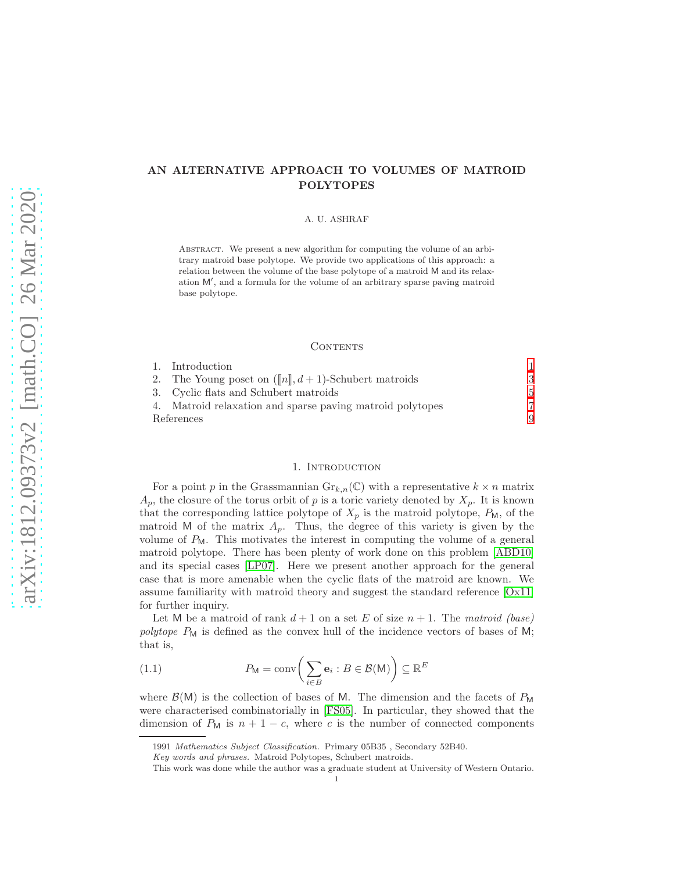# AN ALTERNATIVE APPROACH TO VOLUMES OF MATROID POLYTOPES

### A. U. ASHRAF

ABSTRACT. We present a new algorithm for computing the volume of an arbitrary matroid base polytope. We provide two applications of this approach: a relation between the volume of the base polytope of a matroid M and its relaxation M′ , and a formula for the volume of an arbitrary sparse paving matroid base polytope.

### **CONTENTS**

| 1. Introduction                                                   |               |
|-------------------------------------------------------------------|---------------|
| 2. The Young poset on $(\lceil n \rceil, d+1)$ -Schubert matroids | $\mathcal{R}$ |
| 3. Cyclic flats and Schubert matroids                             | 5.            |
| 4. Matroid relaxation and sparse paving matroid polytopes         |               |
| References                                                        | 9             |

### 1. INTRODUCTION

<span id="page-0-0"></span>For a point p in the Grassmannian  $\mathrm{Gr}_{k,n}(\mathbb{C})$  with a representative  $k \times n$  matrix  $A_p$ , the closure of the torus orbit of p is a toric variety denoted by  $X_p$ . It is known that the corresponding lattice polytope of  $X_p$  is the matroid polytope,  $P_M$ , of the matroid M of the matrix  $A_p$ . Thus, the degree of this variety is given by the volume of  $P_M$ . This motivates the interest in computing the volume of a general matroid polytope. There has been plenty of work done on this problem [\[ABD10\]](#page-8-1) and its special cases [\[LP07\]](#page-8-2). Here we present another approach for the general case that is more amenable when the cyclic flats of the matroid are known. We assume familiarity with matroid theory and suggest the standard reference [\[Ox11\]](#page-8-3) for further inquiry.

Let M be a matroid of rank  $d+1$  on a set E of size  $n+1$ . The matroid (base) *polytope*  $P_M$  is defined as the convex hull of the incidence vectors of bases of M; that is,

(1.1) 
$$
P_{\mathsf{M}} = \text{conv}\bigg(\sum_{i \in B} \mathbf{e}_i : B \in \mathcal{B}(\mathsf{M})\bigg) \subseteq \mathbb{R}^E
$$

where  $\mathcal{B}(M)$  is the collection of bases of M. The dimension and the facets of  $P_M$ were characterised combinatorially in [\[FS05\]](#page-8-4). In particular, they showed that the dimension of  $P_M$  is  $n + 1 - c$ , where c is the number of connected components

<sup>1991</sup> Mathematics Subject Classification. Primary 05B35 , Secondary 52B40.

Key words and phrases. Matroid Polytopes, Schubert matroids.

This work was done while the author was a graduate student at University of Western Ontario.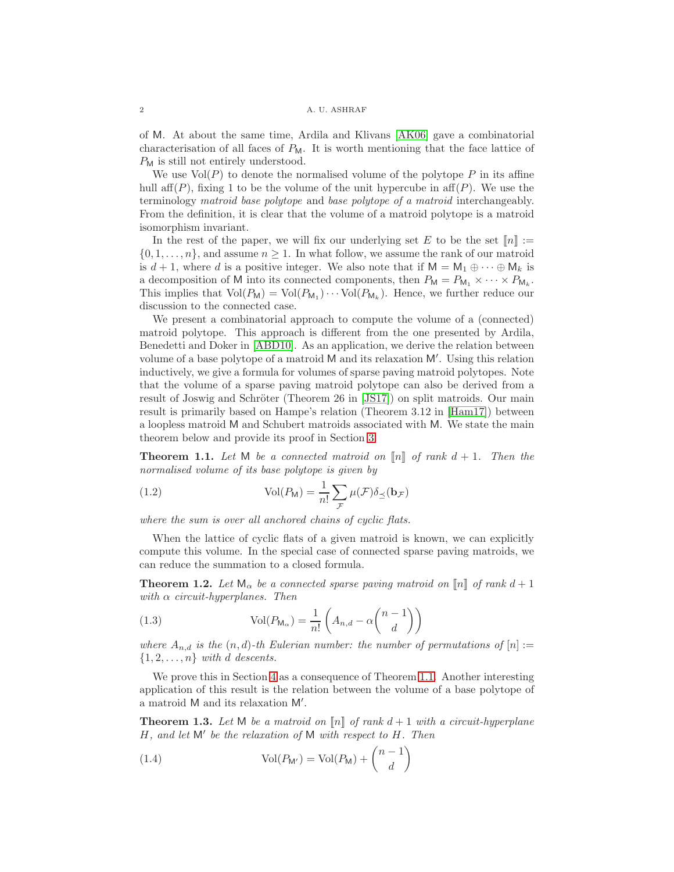of M. At about the same time, Ardila and Klivans [\[AK06\]](#page-8-5) gave a combinatorial characterisation of all faces of  $P_M$ . It is worth mentioning that the face lattice of  $P_M$  is still not entirely understood.

We use  $Vol(P)$  to denote the normalised volume of the polytope P in its affine hull aff $(P)$ , fixing 1 to be the volume of the unit hypercube in aff $(P)$ . We use the terminology *matroid base polytope* and *base polytope of a matroid* interchangeably. From the definition, it is clear that the volume of a matroid polytope is a matroid isomorphism invariant.

In the rest of the paper, we will fix our underlying set E to be the set  $\llbracket n \rrbracket :=$  $\{0, 1, \ldots, n\}$ , and assume  $n \geq 1$ . In what follow, we assume the rank of our matroid is  $d + 1$ , where d is a positive integer. We also note that if  $M = M_1 \oplus \cdots \oplus M_k$  is a decomposition of M into its connected components, then  $P_M = P_{M_1} \times \cdots \times P_{M_k}$ . This implies that  $Vol(P_M) = Vol(P_{M_1}) \cdots Vol(P_{M_k})$ . Hence, we further reduce our discussion to the connected case.

We present a combinatorial approach to compute the volume of a (connected) matroid polytope. This approach is different from the one presented by Ardila, Benedetti and Doker in [\[ABD10\]](#page-8-1). As an application, we derive the relation between volume of a base polytope of a matroid M and its relaxation M′ . Using this relation inductively, we give a formula for volumes of sparse paving matroid polytopes. Note that the volume of a sparse paving matroid polytope can also be derived from a result of Joswig and Schröter (Theorem 26 in [\[JS17\]](#page-8-6)) on split matroids. Our main result is primarily based on Hampe's relation (Theorem 3.12 in [\[Ham17\]](#page-8-7)) between a loopless matroid M and Schubert matroids associated with M. We state the main theorem below and provide its proof in Section [3.](#page-4-0)

<span id="page-1-0"></span>**Theorem 1.1.** Let M be a connected matroid on  $\llbracket n \rrbracket$  of rank  $d + 1$ . Then the *normalised volume of its base polytope is given by*

<span id="page-1-2"></span>(1.2) 
$$
\text{Vol}(P_{\mathsf{M}}) = \frac{1}{n!} \sum_{\mathcal{F}} \mu(\mathcal{F}) \delta_{\preceq}(\mathbf{b}_{\mathcal{F}})
$$

*where the sum is over all anchored chains of cyclic flats.*

When the lattice of cyclic flats of a given matroid is known, we can explicitly compute this volume. In the special case of connected sparse paving matroids, we can reduce the summation to a closed formula.

<span id="page-1-3"></span>**Theorem 1.2.** Let  $\mathsf{M}_{\alpha}$  be a connected sparse paving matroid on  $[\![n]\!]$  of rank  $d+1$ *with* α *circuit-hyperplanes. Then*

(1.3) 
$$
\text{Vol}(P_{\mathsf{M}_{\alpha}}) = \frac{1}{n!} \left( A_{n,d} - \alpha \binom{n-1}{d} \right)
$$

*where*  $A_{n,d}$  *is the*  $(n,d)$ -th Eulerian number: the number of permutations of  $[n]$  :=  $\{1, 2, \ldots, n\}$  *with d* descents.

We prove this in Section [4](#page-6-0) as a consequence of Theorem [1.1.](#page-1-0) Another interesting application of this result is the relation between the volume of a base polytope of a matroid M and its relaxation M′ .

<span id="page-1-1"></span>**Theorem 1.3.** Let M be a matroid on  $\llbracket n \rrbracket$  of rank  $d+1$  with a circuit-hyperplane H*, and let* M′ *be the relaxation of* M *with respect to* H*. Then*

(1.4) 
$$
\text{Vol}(P_{\mathsf{M'}}) = \text{Vol}(P_{\mathsf{M}}) + \binom{n-1}{d}
$$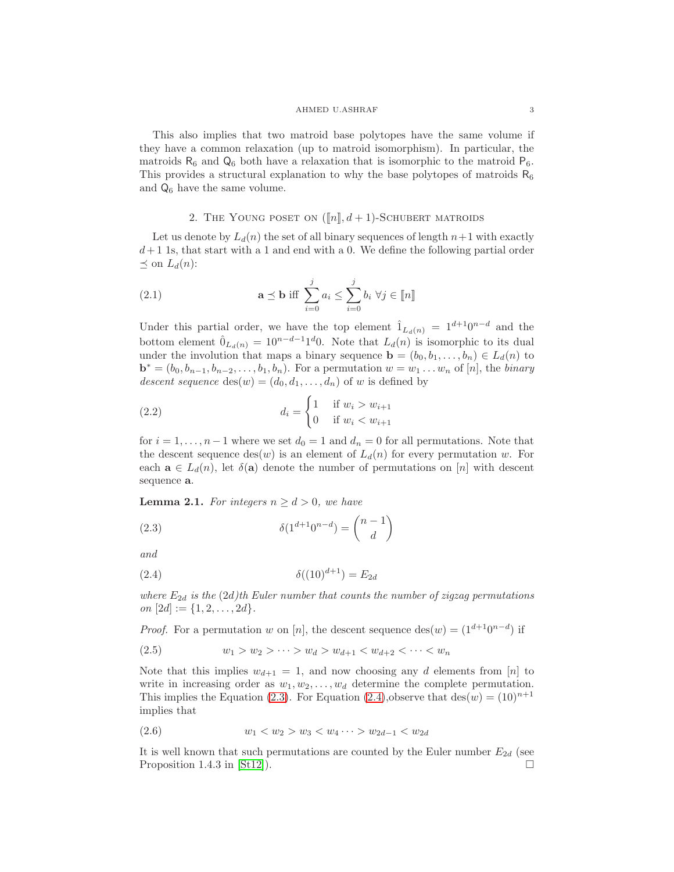#### AHMED U.ASHRAF 3

This also implies that two matroid base polytopes have the same volume if they have a common relaxation (up to matroid isomorphism). In particular, the matroids  $R_6$  and  $Q_6$  both have a relaxation that is isomorphic to the matroid  $P_6$ . This provides a structural explanation to why the base polytopes of matroids  $R_6$ and  $\mathsf{Q}_6$  have the same volume.

# 2. THE YOUNG POSET ON  $(\llbracket n \rrbracket, d + 1)$ -SCHUBERT MATROIDS

<span id="page-2-0"></span>Let us denote by  $L_d(n)$  the set of all binary sequences of length  $n+1$  with exactly  $d+1$  1s, that start with a 1 and end with a 0. We define the following partial order  $\preceq$  on  $L_d(n)$ :

(2.1) 
$$
\mathbf{a} \preceq \mathbf{b} \text{ iff } \sum_{i=0}^{j} a_i \leq \sum_{i=0}^{j} b_i \ \forall j \in [\![n]\!]
$$

Under this partial order, we have the top element  $\hat{1}_{L_d(n)} = 1^{d+1}0^{n-d}$  and the bottom element  $\hat{0}_{L_d(n)} = 10^{n-d-1}1^d0$ . Note that  $L_d(n)$  is isomorphic to its dual under the involution that maps a binary sequence  $\mathbf{b} = (b_0, b_1, \ldots, b_n) \in L_d(n)$  to  $\mathbf{b}^* = (b_0, b_{n-1}, b_{n-2}, \ldots, b_1, b_n)$ . For a permutation  $w = w_1 \ldots w_n$  of [n], the *binary descent sequence*  $des(w) = (d_0, d_1, \ldots, d_n)$  of w is defined by

(2.2) 
$$
d_i = \begin{cases} 1 & \text{if } w_i > w_{i+1} \\ 0 & \text{if } w_i < w_{i+1} \end{cases}
$$

for  $i = 1, \ldots, n - 1$  where we set  $d_0 = 1$  and  $d_n = 0$  for all permutations. Note that the descent sequence  $des(w)$  is an element of  $L_d(n)$  for every permutation w. For each  $\mathbf{a} \in L_d(n)$ , let  $\delta(\mathbf{a})$  denote the number of permutations on [n] with descent sequence a.

<span id="page-2-3"></span>**Lemma 2.1.** *For integers*  $n \geq d > 0$ *, we have* 

<span id="page-2-1"></span>(2.3) 
$$
\delta(1^{d+1}0^{n-d}) = \binom{n-1}{d}
$$

*and*

<span id="page-2-2"></span>(2.4) 
$$
\delta((10)^{d+1}) = E_{2d}
$$

*where*  $E_{2d}$  *is the* (2d)th Euler number that counts the number of zigzag permutations *on*  $[2d] := \{1, 2, \ldots, 2d\}.$ 

*Proof.* For a permutation w on [n], the descent sequence  $\text{des}(w) = (1^{d+1}0^{n-d})$  if

$$
(2.5) \t\t w_1 > w_2 > \cdots > w_d > w_{d+1} < w_{d+2} < \cdots < w_n
$$

Note that this implies  $w_{d+1} = 1$ , and now choosing any d elements from [n] to write in increasing order as  $w_1, w_2, \ldots, w_d$  determine the complete permutation. This implies the Equation [\(2.3\)](#page-2-1). For Equation [\(2.4\)](#page-2-2), observe that des $(w) = (10)^{n+1}$ implies that

$$
(2.6) \t\t w_1 < w_2 > w_3 < w_4 \cdots > w_{2d-1} < w_{2d}
$$

It is well known that such permutations are counted by the Euler number  $E_{2d}$  (see Proposition 1.4.3 in [\[St12\]](#page-8-8)).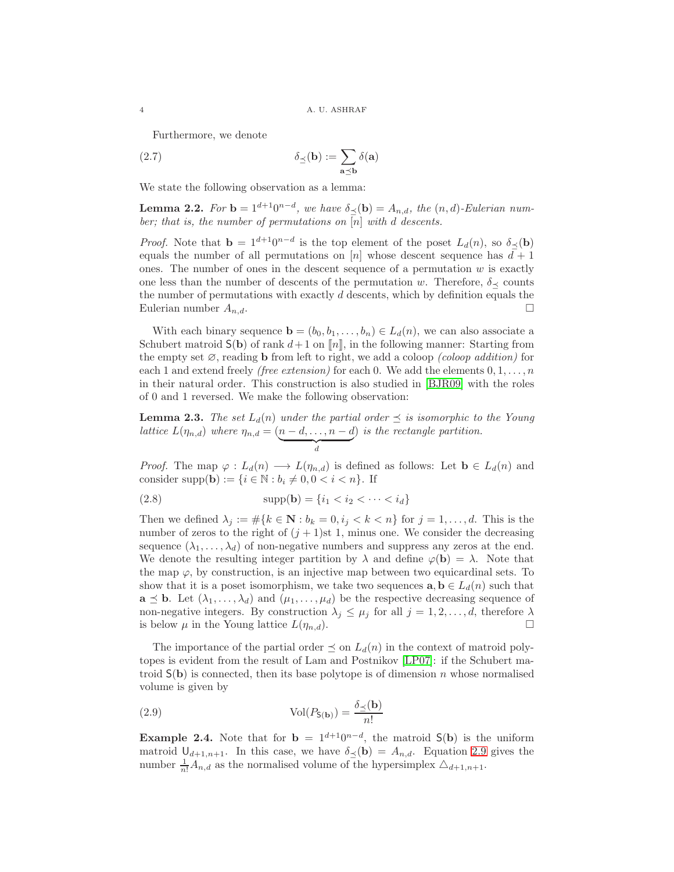Furthermore, we denote

(2.7) 
$$
\delta_{\preceq}(\mathbf{b}) := \sum_{\mathbf{a} \preceq \mathbf{b}} \delta(\mathbf{a})
$$

We state the following observation as a lemma:

<span id="page-3-1"></span>**Lemma 2.2.** *For*  $\mathbf{b} = 1^{d+1}0^{n-d}$ , we have  $\delta_{\preceq}(\mathbf{b}) = A_{n,d}$ , the  $(n, d)$ -Eulerian num*ber; that is, the number of permutations on* [n] *with* d *descents.*

*Proof.* Note that **b** =  $1^{d+1}0^{n-d}$  is the top element of the poset  $L_d(n)$ , so  $\delta_{\preceq}(\mathbf{b})$ equals the number of all permutations on [n] whose descent sequence has  $d + 1$ ones. The number of ones in the descent sequence of a permutation  $w$  is exactly one less than the number of descents of the permutation w. Therefore,  $\delta_{\prec}$  counts the number of permutations with exactly d descents, which by definition equals the Eulerian number  $A_{n,d}$ .

With each binary sequence  $\mathbf{b} = (b_0, b_1, \ldots, b_n) \in L_d(n)$ , we can also associate a Schubert matroid  $S(b)$  of rank  $d+1$  on  $\llbracket n \rrbracket$ , in the following manner: Starting from the empty set ∅, reading b from left to right, we add a coloop *(coloop addition)* for each 1 and extend freely *(free extension)* for each 0. We add the elements  $0, 1, \ldots, n$ in their natural order. This construction is also studied in [\[BJR09\]](#page-8-9) with the roles of 0 and 1 reversed. We make the following observation:

**Lemma 2.3.** *The set*  $L_d(n)$  *under the partial order*  $\preceq$  *is isomorphic to the Young lattice*  $L(\eta_{n,d})$  *where*  $\eta_{n,d} = (n-d,\ldots,n-d)$  $\overbrace{d}$ ) *is the rectangle partition.*

*Proof.* The map  $\varphi: L_d(n) \longrightarrow L(\eta_{n,d})$  is defined as follows: Let  $\mathbf{b} \in L_d(n)$  and consider supp(**b**) := { $i \in \mathbb{N} : b_i \neq 0, 0 < i < n$  }. If

(2.8) 
$$
\text{supp}(\mathbf{b}) = \{i_1 < i_2 < \cdots < i_d\}
$$

Then we defined  $\lambda_j := \#\{k \in \mathbb{N} : b_k = 0, i_j < k < n\}$  for  $j = 1, \ldots, d$ . This is the number of zeros to the right of  $(j + 1)$ st 1, minus one. We consider the decreasing sequence  $(\lambda_1, \ldots, \lambda_d)$  of non-negative numbers and suppress any zeros at the end. We denote the resulting integer partition by  $\lambda$  and define  $\varphi(\mathbf{b}) = \lambda$ . Note that the map  $\varphi$ , by construction, is an injective map between two equicardinal sets. To show that it is a poset isomorphism, we take two sequences  $\mathbf{a}, \mathbf{b} \in L_d(n)$  such that  $\mathbf{a} \preceq \mathbf{b}$ . Let  $(\lambda_1, \ldots, \lambda_d)$  and  $(\mu_1, \ldots, \mu_d)$  be the respective decreasing sequence of non-negative integers. By construction  $\lambda_j \leq \mu_j$  for all  $j = 1, 2, ..., d$ , therefore  $\lambda$ is below  $\mu$  in the Young lattice  $L(\eta_{n,d})$ .

The importance of the partial order  $\preceq$  on  $L_d(n)$  in the context of matroid polytopes is evident from the result of Lam and Postnikov [\[LP07\]](#page-8-2): if the Schubert matroid  $S(b)$  is connected, then its base polytope is of dimension n whose normalised volume is given by

<span id="page-3-0"></span>(2.9) 
$$
\text{Vol}(P_{\mathsf{S}(\mathbf{b})}) = \frac{\delta_{\preceq}(\mathbf{b})}{n!}
$$

**Example 2.4.** Note that for **b** =  $1^{d+1}0^{n-d}$ , the matroid  $S(b)$  is the uniform matroid  $\bigcup_{d+1,n+1}$ . In this case, we have  $\delta_{\preceq}(\mathbf{b}) = A_{n,d}$ . Equation [2.9](#page-3-0) gives the number  $\frac{1}{n!}A_{n,d}$  as the normalised volume of the hypersimplex  $\triangle_{d+1,n+1}$ .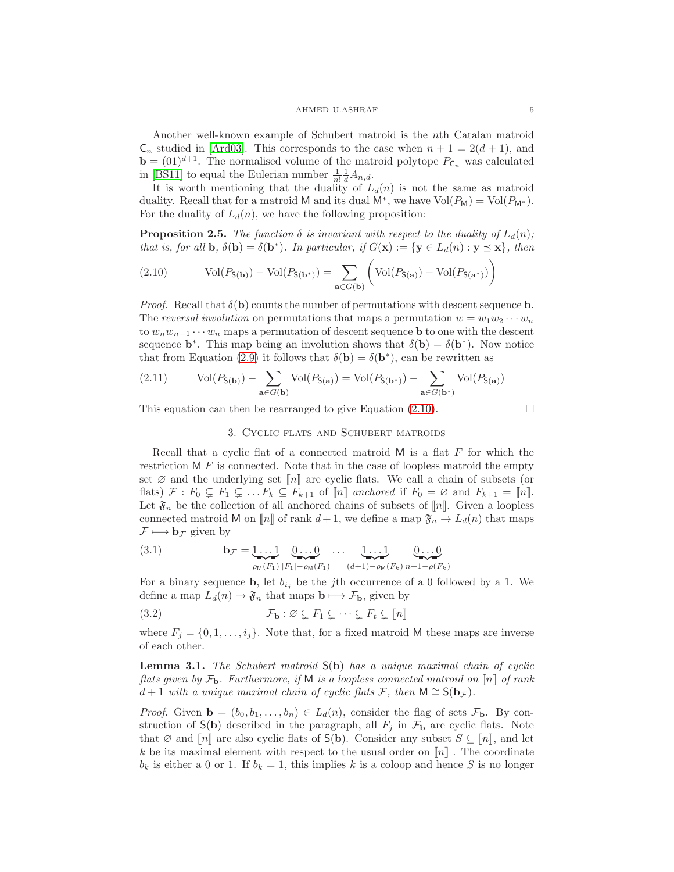Another well-known example of Schubert matroid is the nth Catalan matroid  $C_n$  studied in [\[Ard03\]](#page-8-10). This corresponds to the case when  $n + 1 = 2(d + 1)$ , and  $\mathbf{b} = (01)^{d+1}$ . The normalised volume of the matroid polytope  $P_{\mathsf{C}_n}$  was calculated in [\[BS11\]](#page-8-11) to equal the Eulerian number  $\frac{1}{n!} \frac{1}{d} A_{n,d}$ .

It is worth mentioning that the duality of  $L_d(n)$  is not the same as matroid duality. Recall that for a matroid M and its dual  $M^*$ , we have  $Vol(P_M) = Vol(P_{M^*})$ . For the duality of  $L_d(n)$ , we have the following proposition:

**Proposition 2.5.** *The function*  $\delta$  *is invariant with respect to the duality of*  $L_d(n)$ ; *that is, for all* **b**,  $\delta(\mathbf{b}) = \delta(\mathbf{b}^*)$ *. In particular, if*  $G(\mathbf{x}) := \{ \mathbf{y} \in L_d(n) : \mathbf{y} \preceq \mathbf{x} \}$ *, then* 

<span id="page-4-1"></span>(2.10) 
$$
\text{Vol}(P_{\mathbf{S}(\mathbf{b})}) - \text{Vol}(P_{\mathbf{S}(\mathbf{b}^*)}) = \sum_{\mathbf{a} \in G(\mathbf{b})} \left( \text{Vol}(P_{\mathbf{S}(\mathbf{a})}) - \text{Vol}(P_{\mathbf{S}(\mathbf{a}^*)}) \right)
$$

*Proof.* Recall that  $\delta(b)$  counts the number of permutations with descent sequence b. The *reversal involution* on permutations that maps a permutation  $w = w_1w_2 \cdots w_n$ to  $w_nw_{n-1}\cdots w_n$  maps a permutation of descent sequence **b** to one with the descent sequence  $\mathbf{b}^*$ . This map being an involution shows that  $\delta(\mathbf{b}) = \delta(\mathbf{b}^*)$ . Now notice that from Equation [\(2.9\)](#page-3-0) it follows that  $\delta(\mathbf{b}) = \delta(\mathbf{b}^*)$ , can be rewritten as

(2.11) 
$$
\text{Vol}(P_{\mathbf{S}(\mathbf{b})}) - \sum_{\mathbf{a} \in G(\mathbf{b})} \text{Vol}(P_{\mathbf{S}(\mathbf{a})}) = \text{Vol}(P_{\mathbf{S}(\mathbf{b}^*)}) - \sum_{\mathbf{a} \in G(\mathbf{b}^*)} \text{Vol}(P_{\mathbf{S}(\mathbf{a})})
$$

<span id="page-4-0"></span>This equation can then be rearranged to give Equation [\(2.10\)](#page-4-1).

$$
\Box
$$

## 3. Cyclic flats and Schubert matroids

Recall that a cyclic flat of a connected matroid  $M$  is a flat  $F$  for which the restriction  $M/F$  is connected. Note that in the case of loopless matroid the empty set  $\varnothing$  and the underlying set  $\llbracket n \rrbracket$  are cyclic flats. We call a chain of subsets (or flats)  $\mathcal{F}: F_0 \subsetneq F_1 \subsetneq \ldots F_k \subseteq F_{k+1}$  of  $[\![n]\!]$  anchored if  $F_0 = \emptyset$  and  $F_{k+1} = [\![n]\!]$ . Let  $\mathfrak{F}_n$  be the collection of all anchored chains of subsets of  $\llbracket n \rrbracket$ . Given a loopless connected matroid M on  $\llbracket n \rrbracket$  of rank  $d+1$ , we define a map  $\mathfrak{F}_n \to L_d(n)$  that maps  $\mathcal{F} \longmapsto \mathbf{b}_{\mathcal{F}}$  given by

(3.1) 
$$
\mathbf{b}_{\mathcal{F}} = \underbrace{1 \dots 1}_{\rho_{\mathsf{M}}(F_1)} \underbrace{0 \dots 0}_{|F_1| - \rho_{\mathsf{M}}(F_1)} \dots \underbrace{1 \dots 1}_{(d+1) - \rho_{\mathsf{M}}(F_k)} \underbrace{0 \dots 0}_{n+1 - \rho(F_k)}
$$

For a binary sequence b, let  $b_{i_j}$  be the jth occurrence of a 0 followed by a 1. We define a map  $L_d(n) \to \mathfrak{F}_n$  that maps  $\mathbf{b} \longmapsto \mathcal{F}_\mathbf{b}$ , given by

(3.2) 
$$
\mathcal{F}_{\mathbf{b}} : \varnothing \subsetneq F_1 \subsetneq \cdots \subsetneq F_t \subsetneq [n]
$$

where  $F_j = \{0, 1, \ldots, i_j\}$ . Note that, for a fixed matroid M these maps are inverse of each other.

<span id="page-4-2"></span>Lemma 3.1. *The Schubert matroid* S(b) *has a unique maximal chain of cyclic flats given by*  $\mathcal{F}_b$ *. Furthermore, if* M *is a loopless connected matroid on*  $\llbracket n \rrbracket$  *of rank*  $d+1$  *with a unique maximal chain of cyclic flats* F, then  $M \cong S(b_{\mathcal{F}})$ .

*Proof.* Given  $\mathbf{b} = (b_0, b_1, \ldots, b_n) \in L_d(n)$ , consider the flag of sets  $\mathcal{F}_{\mathbf{b}}$ . By construction of  $S(b)$  described in the paragraph, all  $F_j$  in  $\mathcal{F}_b$  are cyclic flats. Note that ∅ and  $\llbracket n \rrbracket$  are also cyclic flats of  $S(b)$ . Consider any subset  $S \subseteq \llbracket n \rrbracket$ , and let k be its maximal element with respect to the usual order on  $\|n\|$ . The coordinate  $b_k$  is either a 0 or 1. If  $b_k = 1$ , this implies k is a coloop and hence S is no longer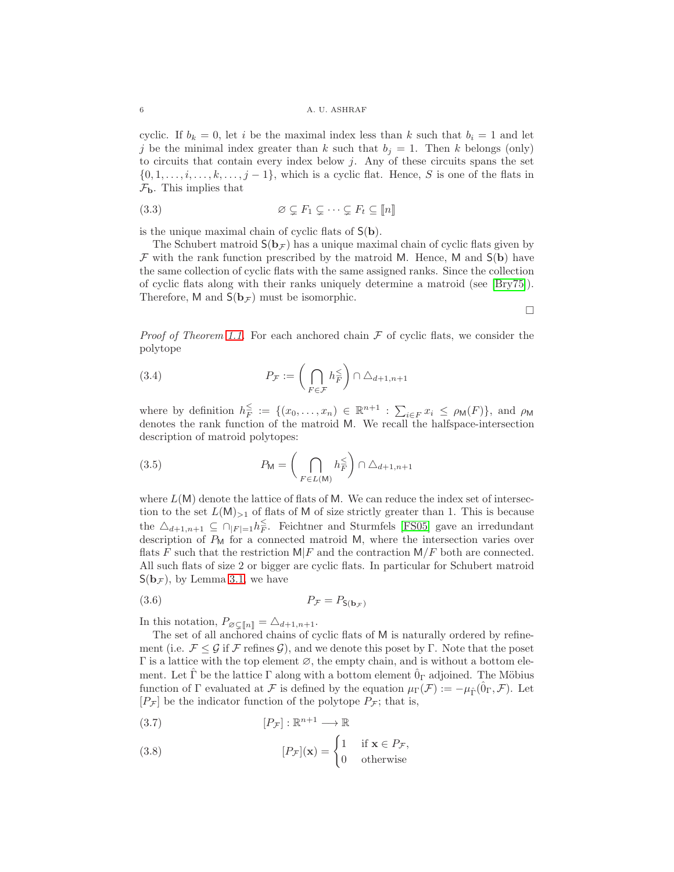cyclic. If  $b_k = 0$ , let i be the maximal index less than k such that  $b_i = 1$  and let j be the minimal index greater than k such that  $b_j = 1$ . Then k belongs (only) to circuits that contain every index below  $j$ . Any of these circuits spans the set  $\{0, 1, \ldots, i, \ldots, k, \ldots, j-1\}$ , which is a cyclic flat. Hence, S is one of the flats in  $\mathcal{F}_{\mathbf{b}}$ . This implies that

$$
(3.3) \qquad \qquad \varnothing \subsetneq F_1 \subsetneq \cdots \subsetneq F_t \subseteq [n]
$$

is the unique maximal chain of cyclic flats of  $S(b)$ .

The Schubert matroid  $S(b_F)$  has a unique maximal chain of cyclic flats given by  $\mathcal F$  with the rank function prescribed by the matroid M. Hence, M and  $S(b)$  have the same collection of cyclic flats with the same assigned ranks. Since the collection of cyclic flats along with their ranks uniquely determine a matroid (see [\[Bry75\]](#page-8-12)). Therefore, M and  $S(b_{\mathcal{F}})$  must be isomorphic.

 $\Box$ 

*Proof of Theorem [1.1.](#page-1-0)* For each anchored chain  $\mathcal F$  of cyclic flats, we consider the polytope

(3.4) 
$$
P_{\mathcal{F}} := \left(\bigcap_{F \in \mathcal{F}} h_F^{\leq}\right) \cap \Delta_{d+1, n+1}
$$

where by definition  $h_F^{\leq} := \{(x_0, \ldots, x_n) \in \mathbb{R}^{n+1} : \sum_{i \in F} x_i \leq \rho_{\mathsf{M}}(F)\}\)$ , and  $\rho_{\mathsf{M}}$ denotes the rank function of the matroid M. We recall the halfspace-intersection description of matroid polytopes:

(3.5) 
$$
P_{\mathsf{M}} = \left(\bigcap_{F \in L(\mathsf{M})} h_F^{\leq} \right) \cap \Delta_{d+1, n+1}
$$

where  $L(M)$  denote the lattice of flats of M. We can reduce the index set of intersection to the set  $L(M)_{>1}$  of flats of M of size strictly greater than 1. This is because the  $\Delta_{d+1,n+1} \subseteq \bigcap_{|F|=1} h_F^{\leq}$ . Feichtner and Sturmfels [\[FS05\]](#page-8-4) gave an irredundant description of  $P_M$  for a connected matroid M, where the intersection varies over flats F such that the restriction  $M/F$  and the contraction  $M/F$  both are connected. All such flats of size 2 or bigger are cyclic flats. In particular for Schubert matroid  $S(b_{\mathcal{F}})$ , by Lemma [3.1,](#page-4-2) we have

$$
(3.6) \t\t\t P_{\mathcal{F}} = P_{\mathsf{S}(\mathbf{b}_{\mathcal{F}})}
$$

In this notation,  $P_{\varnothing \subset \llbracket n \rrbracket} = \triangle_{d+1,n+1}$ .

The set of all anchored chains of cyclic flats of M is naturally ordered by refinement (i.e.  $\mathcal{F} \leq \mathcal{G}$  if  $\mathcal{F}$  refines  $\mathcal{G}$ ), and we denote this poset by Γ. Note that the poset  $\Gamma$  is a lattice with the top element  $\varnothing$ , the empty chain, and is without a bottom element. Let  $\hat{\Gamma}$  be the lattice  $\Gamma$  along with a bottom element  $\hat{0}_{\Gamma}$  adjoined. The Möbius function of Γ evaluated at F is defined by the equation  $\mu_{\Gamma}(\mathcal{F}) := -\mu_{\hat{\Gamma}}(\hat{0}_{\Gamma}, \mathcal{F})$ . Let  $[P_{\mathcal{F}}]$  be the indicator function of the polytope  $P_{\mathcal{F}}$ ; that is,

$$
(3.7) \t\t [P_{\mathcal{F}}] : \mathbb{R}^{n+1} \longrightarrow \mathbb{R}
$$

(3.8) 
$$
[P_{\mathcal{F}}](\mathbf{x}) = \begin{cases} 1 & \text{if } \mathbf{x} \in P_{\mathcal{F}}, \\ 0 & \text{otherwise} \end{cases}
$$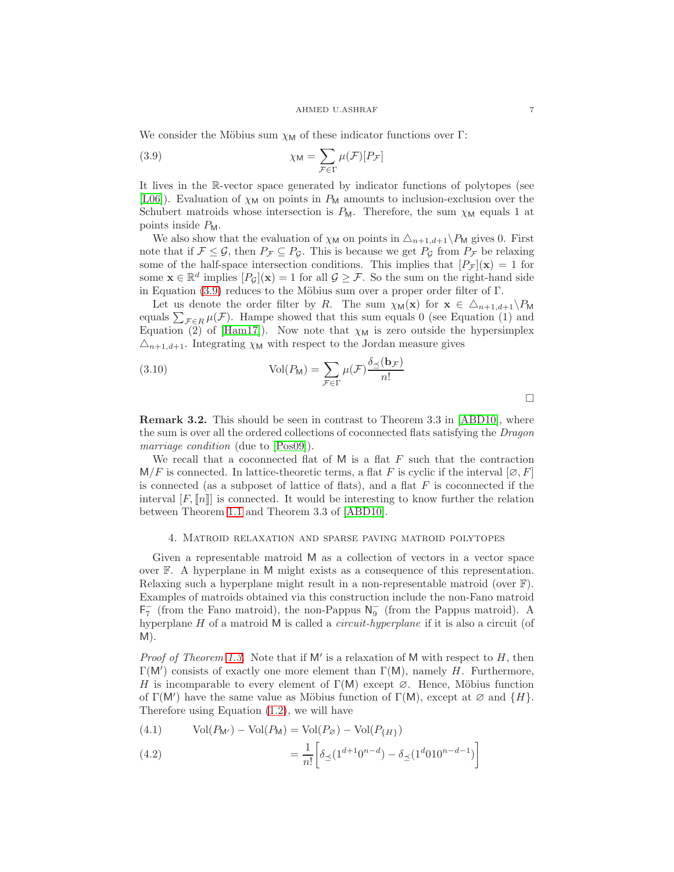We consider the Möbius sum  $\chi_M$  of these indicator functions over Γ:

<span id="page-6-1"></span>(3.9) 
$$
\chi_{\mathsf{M}} = \sum_{\mathcal{F} \in \Gamma} \mu(\mathcal{F})[P_{\mathcal{F}}]
$$

It lives in the R-vector space generated by indicator functions of polytopes (see [\[L06\]](#page-8-13)). Evaluation of  $\chi_M$  on points in  $P_M$  amounts to inclusion-exclusion over the Schubert matroids whose intersection is  $P_M$ . Therefore, the sum  $\chi_M$  equals 1 at points inside  $P_M$ .

We also show that the evaluation of  $\chi_M$  on points in  $\Delta_{n+1,d+1}\backslash P_M$  gives 0. First note that if  $\mathcal{F} \leq \mathcal{G}$ , then  $P_{\mathcal{F}} \subseteq P_{\mathcal{G}}$ . This is because we get  $P_{\mathcal{G}}$  from  $P_{\mathcal{F}}$  be relaxing some of the half-space intersection conditions. This implies that  $[P_{\mathcal{F}}](\mathbf{x}) = 1$  for some  $\mathbf{x} \in \mathbb{R}^d$  implies  $[P_{\mathcal{G}}](\mathbf{x}) = 1$  for all  $\mathcal{G} \geq \mathcal{F}$ . So the sum on the right-hand side in Equation [\(3.9\)](#page-6-1) reduces to the Möbius sum over a proper order filter of  $\Gamma$ .

Let us denote the order filter by R. The sum  $\chi_{\mathsf{M}}(\mathbf{x})$  for  $\mathbf{x} \in \Delta_{n+1,d+1} \backslash P_{\mathsf{M}}$ equals  $\sum_{\mathcal{F} \in R} \mu(\mathcal{F})$ . Hampe showed that this sum equals 0 (see Equation (1) and Equation (2) of [\[Ham17\]](#page-8-7)). Now note that  $\chi_M$  is zero outside the hypersimplex  $\Delta_{n+1,d+1}$ . Integrating  $\chi_M$  with respect to the Jordan measure gives

(3.10) 
$$
\text{Vol}(P_{\mathsf{M}}) = \sum_{\mathcal{F} \in \Gamma} \mu(\mathcal{F}) \frac{\delta_{\preceq}(\mathbf{b}_{\mathcal{F}})}{n!}
$$

Remark 3.2. This should be seen in contrast to Theorem 3.3 in [\[ABD10\]](#page-8-1), where the sum is over all the ordered collections of coconnected flats satisfying the *Dragon marriage condition* (due to [\[Pos09\]](#page-8-14)).

We recall that a coconnected flat of  $M$  is a flat  $F$  such that the contraction  $M/F$  is connected. In lattice-theoretic terms, a flat F is cyclic if the interval  $[\varnothing, F]$ is connected (as a subposet of lattice of flats), and a flat  $F$  is coconnected if the interval  $[F, \llbracket n \rrbracket]$  is connected. It would be interesting to know further the relation between Theorem [1.1](#page-1-0) and Theorem 3.3 of [\[ABD10\]](#page-8-1).

## <span id="page-6-0"></span>4. Matroid relaxation and sparse paving matroid polytopes

Given a representable matroid M as a collection of vectors in a vector space over F. A hyperplane in M might exists as a consequence of this representation. Relaxing such a hyperplane might result in a non-representable matroid (over F). Examples of matroids obtained via this construction include the non-Fano matroid  $\mathsf{F}_7^-$  (from the Fano matroid), the non-Pappus  $\mathsf{N}_9^-$  (from the Pappus matroid). A hyperplane H of a matroid M is called a *circuit-hyperplane* if it is also a circuit (of M).

Proof of Theorem [1.3.](#page-1-1) Note that if M' is a relaxation of M with respect to H, then  $\Gamma(M')$  consists of exactly one more element than  $\Gamma(M)$ , namely H. Furthermore, H is incomparable to every element of  $\Gamma(M)$  except  $\varnothing$ . Hence, Möbius function of  $\Gamma(M')$  have the same value as Möbius function of  $\Gamma(M)$ , except at  $\varnothing$  and  $\{H\}.$ Therefore using Equation [\(1.2\)](#page-1-2), we will have

$$
(4.1) \t\t\t Vol(P_{M'}) - Vol(P_M) = Vol(P_{\varnothing}) - Vol(P_{\{H\}})
$$

(4.2) 
$$
= \frac{1}{n!} \left[ \delta_{\leq}(1^{d+1}0^{n-d}) - \delta_{\leq}(1^d 0 10^{n-d-1}) \right]
$$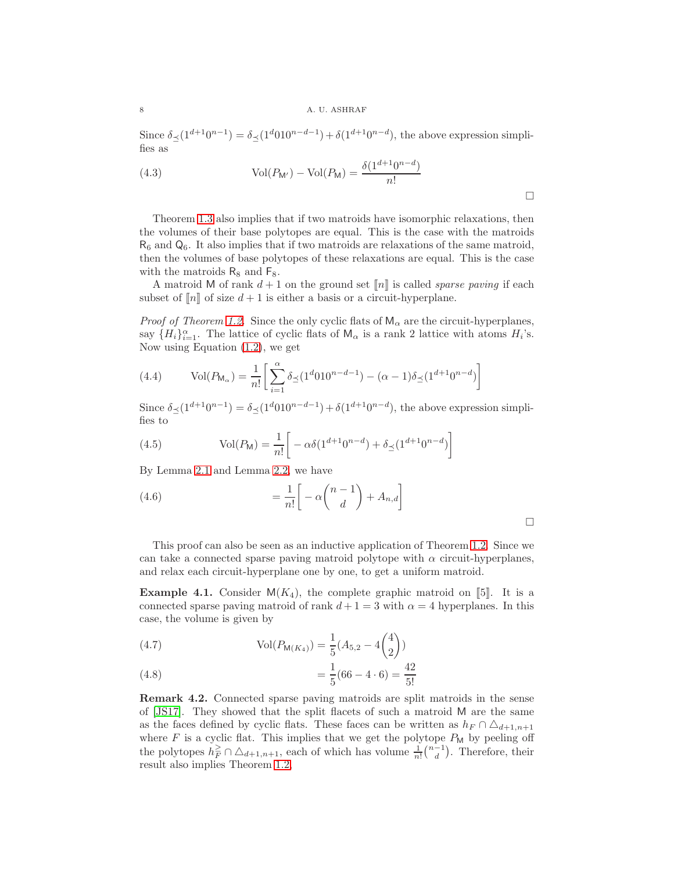8 A. U. ASHRAF

Since  $\delta_{\preceq}(1^{d+1}0^{n-1}) = \delta_{\preceq}(1^d010^{n-d-1}) + \delta(1^{d+1}0^{n-d})$ , the above expression simplifies as

(4.3) 
$$
\text{Vol}(P_{\mathsf{M'}}) - \text{Vol}(P_{\mathsf{M}}) = \frac{\delta(1^{d+1}0^{n-d})}{n!}
$$

Theorem [1.3](#page-1-1) also implies that if two matroids have isomorphic relaxations, then the volumes of their base polytopes are equal. This is the case with the matroids  $R_6$  and  $Q_6$ . It also implies that if two matroids are relaxations of the same matroid, then the volumes of base polytopes of these relaxations are equal. This is the case with the matroids  $R_8$  and  $F_8$ .

A matroid M of rank  $d + 1$  on the ground set  $\llbracket n \rrbracket$  is called *sparse paving* if each subset of  $\llbracket n \rrbracket$  of size  $d+1$  is either a basis or a circuit-hyperplane.

*Proof of Theorem [1.2.](#page-1-3)* Since the only cyclic flats of  $M_{\alpha}$  are the circuit-hyperplanes, say  $\{H_i\}_{i=1}^{\alpha}$ . The lattice of cyclic flats of  $\mathsf{M}_{\alpha}$  is a rank 2 lattice with atoms  $H_i$ 's. Now using Equation [\(1.2\)](#page-1-2), we get

(4.4) 
$$
\text{Vol}(P_{\mathsf{M}_{\alpha}}) = \frac{1}{n!} \left[ \sum_{i=1}^{\alpha} \delta_{\preceq} (1^d 0 1 0^{n-d-1}) - (\alpha - 1) \delta_{\preceq} (1^{d+1} 0^{n-d}) \right]
$$

Since  $\delta_{\preceq}(1^{d+1}0^{n-1}) = \delta_{\preceq}(1^d010^{n-d-1}) + \delta(1^{d+1}0^{n-d})$ , the above expression simplifies to

(4.5) 
$$
\text{Vol}(P_{\mathsf{M}}) = \frac{1}{n!} \left[ -\alpha \delta (1^{d+1} 0^{n-d}) + \delta_{\preceq} (1^{d+1} 0^{n-d}) \right]
$$

By Lemma [2.1](#page-2-3) and Lemma [2.2,](#page-3-1) we have

(4.6) 
$$
= \frac{1}{n!} \bigg[ -\alpha \binom{n-1}{d} + A_{n,d} \bigg]
$$

 $\Box$ 

This proof can also be seen as an inductive application of Theorem [1.2.](#page-1-3) Since we can take a connected sparse paving matroid polytope with  $\alpha$  circuit-hyperplanes, and relax each circuit-hyperplane one by one, to get a uniform matroid.

**Example 4.1.** Consider  $M(K_4)$ , the complete graphic matroid on [5]. It is a connected sparse paving matroid of rank  $d+1=3$  with  $\alpha=4$  hyperplanes. In this case, the volume is given by

(4.7) 
$$
\text{Vol}(P_{\mathsf{M}(K_4)}) = \frac{1}{5}(A_{5,2} - 4\binom{4}{2})
$$

(4.8) 
$$
= \frac{1}{5}(66 - 4 \cdot 6) = \frac{42}{5!}
$$

<span id="page-7-0"></span>Remark 4.2. Connected sparse paving matroids are split matroids in the sense of [\[JS17\]](#page-8-6). They showed that the split flacets of such a matroid M are the same as the faces defined by cyclic flats. These faces can be written as  $h_F \cap \Delta_{d+1,n+1}$ where  $F$  is a cyclic flat. This implies that we get the polytope  $P_M$  by peeling off the polytopes  $h_F^{\geq} \cap \Delta_{d+1,n+1}$ , each of which has volume  $\frac{1}{n!} {n-1 \choose d}$ . Therefore, their result also implies Theorem [1.2,](#page-1-3)